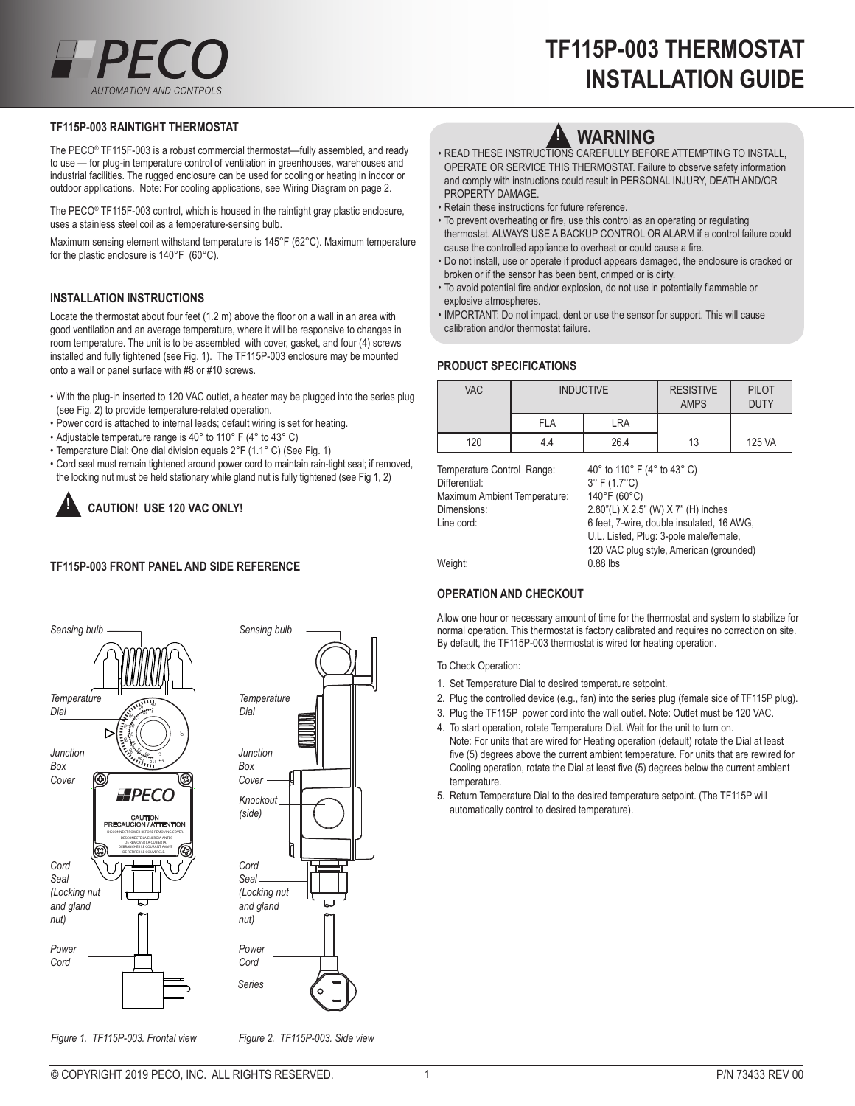ALITOMATION AND CONTROLS

# **TF115P-003 RAINTIGHT THERMOSTAT**

The PECO® TF115F-003 is a robust commercial thermostat—fully assembled, and ready to use — for plug-in temperature control of ventilation in greenhouses, warehouses and industrial facilities. The rugged enclosure can be used for cooling or heating in indoor or outdoor applications. Note: For cooling applications, see Wiring Diagram on page 2.

The PECO® TF115F-003 control, which is housed in the raintight gray plastic enclosure, uses a stainless steel coil as a temperature-sensing bulb.

Maximum sensing element withstand temperature is 145°F (62°C). Maximum temperature for the plastic enclosure is 140°F (60°C).

# **INSTALLATION INSTRUCTIONS**

Locate the thermostat about four feet (1.2 m) above the floor on a wall in an area with good ventilation and an average temperature, where it will be responsive to changes in room temperature. The unit is to be assembled with cover, gasket, and four (4) screws installed and fully tightened (see Fig. 1). The TF115P-003 enclosure may be mounted onto a wall or panel surface with #8 or #10 screws.

- With the plug-in inserted to 120 VAC outlet, a heater may be plugged into the series plug (see Fig. 2) to provide temperature-related operation.
- Power cord is attached to internal leads; default wiring is set for heating.
- Adjustable temperature range is 40° to 110° F (4° to 43° C)
- Temperature Dial: One dial division equals 2°F (1.1° C) (See Fig. 1)
- Cord seal must remain tightened around power cord to maintain rain-tight seal; if removed, the locking nut must be held stationary while gland nut is fully tightened (see Fig 1, 2)

**CAUTION! USE 120 VAC ONLY!** ▲**!**

# **TF115P-003 FRONT PANEL AND SIDE REFERENCE**



*Figure 1. TF115P-003. Frontal view Figure 2. TF115P-003. Side view*

# **TF115P-003 THERMOSTAT INSTALLATION GUIDE**

# **WARNING**

- READ THESE INSTRUCTIONS CAREFULLY BEFORE ATTEMPTING TO INSTALL, OPERATE OR SERVICE THIS THERMOSTAT. Failure to observe safety information and comply with instructions could result in PERSONAL INJURY, DEATH AND/OR PROPERTY DAMAGE.
- Retain these instructions for future reference.
- To prevent overheating or fire, use this control as an operating or regulating thermostat. ALWAYS USE A BACKUP CONTROL OR ALARM if a control failure could cause the controlled appliance to overheat or could cause a fire.
- Do not install, use or operate if product appears damaged, the enclosure is cracked or broken or if the sensor has been bent, crimped or is dirty.
- To avoid potential fire and/or explosion, do not use in potentially flammable or explosive atmospheres.
- IMPORTANT: Do not impact, dent or use the sensor for support. This will cause calibration and/or thermostat failure.

# **PRODUCT SPECIFICATIONS**

| <b>VAC</b> | <b>INDUCTIVE</b> |            | <b>RESISTIVE</b><br><b>AMPS</b> | <b>PILOT</b><br><b>DUTY</b> |
|------------|------------------|------------|---------------------------------|-----------------------------|
|            | <b>FLA</b>       | <b>LRA</b> |                                 |                             |
| 120        | 4.4              | 26.4       | 13                              | 125 VA                      |

| 40° to 110° F (4° to 43° C)               |  |  |  |
|-------------------------------------------|--|--|--|
| $3^{\circ}$ F (1.7 $^{\circ}$ C)          |  |  |  |
| 140°F (60°C)                              |  |  |  |
| 2.80"(L) X 2.5" (W) X 7" (H) inches       |  |  |  |
| 6 feet, 7-wire, double insulated, 16 AWG, |  |  |  |
| U.L. Listed, Plug: 3-pole male/female.    |  |  |  |
| 120 VAC plug style, American (grounded)   |  |  |  |
| $0.88$ lbs                                |  |  |  |
|                                           |  |  |  |

# **OPERATION AND CHECKOUT**

Allow one hour or necessary amount of time for the thermostat and system to stabilize for normal operation. This thermostat is factory calibrated and requires no correction on site. By default, the TF115P-003 thermostat is wired for heating operation.

#### To Check Operation:

- 1. Set Temperature Dial to desired temperature setpoint.
- 2. Plug the controlled device (e.g., fan) into the series plug (female side of TF115P plug).
- 3. Plug the TF115P power cord into the wall outlet. Note: Outlet must be 120 VAC.
- 4. To start operation, rotate Temperature Dial. Wait for the unit to turn on. Note: For units that are wired for Heating operation (default) rotate the Dial at least five (5) degrees above the current ambient temperature. For units that are rewired for Cooling operation, rotate the Dial at least five (5) degrees below the current ambient temperature.
- 5. Return Temperature Dial to the desired temperature setpoint. (The TF115P will automatically control to desired temperature).